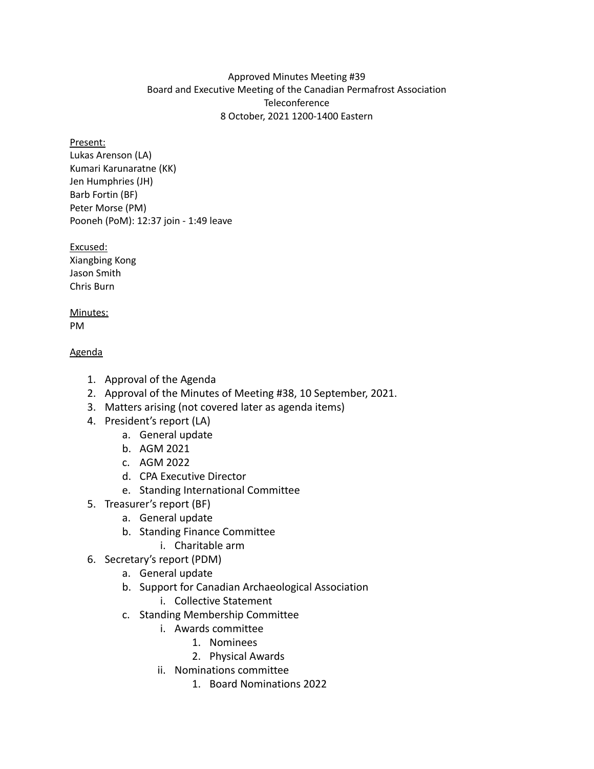## Approved Minutes Meeting #39 Board and Executive Meeting of the Canadian Permafrost Association **Teleconference** 8 October, 2021 1200-1400 Eastern

### Present:

Lukas Arenson (LA) Kumari Karunaratne (KK) Jen Humphries (JH) Barb Fortin (BF) Peter Morse (PM) Pooneh (PoM): 12:37 join - 1:49 leave

### Excused:

Xiangbing Kong Jason Smith Chris Burn

#### Minutes: PM

## Agenda

- 1. Approval of the Agenda
- 2. Approval of the Minutes of Meeting #38, 10 September, 2021.
- 3. Matters arising (not covered later as agenda items)
- 4. President's report (LA)
	- a. General update
	- b. AGM 2021
	- c. AGM 2022
	- d. CPA Executive Director
	- e. Standing International Committee
- 5. Treasurer's report (BF)
	- a. General update
	- b. Standing Finance Committee
		- i. Charitable arm
- 6. Secretary's report (PDM)
	- a. General update
	- b. Support for Canadian Archaeological Association
		- i. Collective Statement
	- c. Standing Membership Committee
		- i. Awards committee
			- 1. Nominees
			- 2. Physical Awards
		- ii. Nominations committee
			- 1. Board Nominations 2022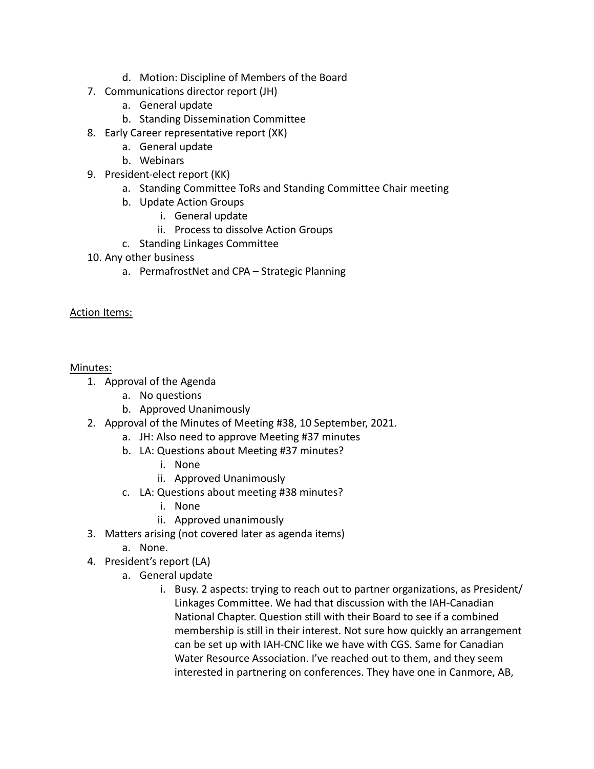- d. Motion: Discipline of Members of the Board
- 7. Communications director report (JH)
	- a. General update
	- b. Standing Dissemination Committee
- 8. Early Career representative report (XK)
	- a. General update
	- b. Webinars
- 9. President-elect report (KK)
	- a. Standing Committee ToRs and Standing Committee Chair meeting
	- b. Update Action Groups
		- i. General update
		- ii. Process to dissolve Action Groups
	- c. Standing Linkages Committee
- 10. Any other business
	- a. PermafrostNet and CPA Strategic Planning

# Action Items:

# Minutes:

- 1. Approval of the Agenda
	- a. No questions
	- b. Approved Unanimously
- 2. Approval of the Minutes of Meeting #38, 10 September, 2021.
	- a. JH: Also need to approve Meeting #37 minutes
	- b. LA: Questions about Meeting #37 minutes?
		- i. None
		- ii. Approved Unanimously
	- c. LA: Questions about meeting #38 minutes?
		- i. None
		- ii. Approved unanimously
- 3. Matters arising (not covered later as agenda items)
	- a. None.
- 4. President's report (LA)
	- a. General update
		- i. Busy. 2 aspects: trying to reach out to partner organizations, as President/ Linkages Committee. We had that discussion with the IAH-Canadian National Chapter. Question still with their Board to see if a combined membership is still in their interest. Not sure how quickly an arrangement can be set up with IAH-CNC like we have with CGS. Same for Canadian Water Resource Association. I've reached out to them, and they seem interested in partnering on conferences. They have one in Canmore, AB,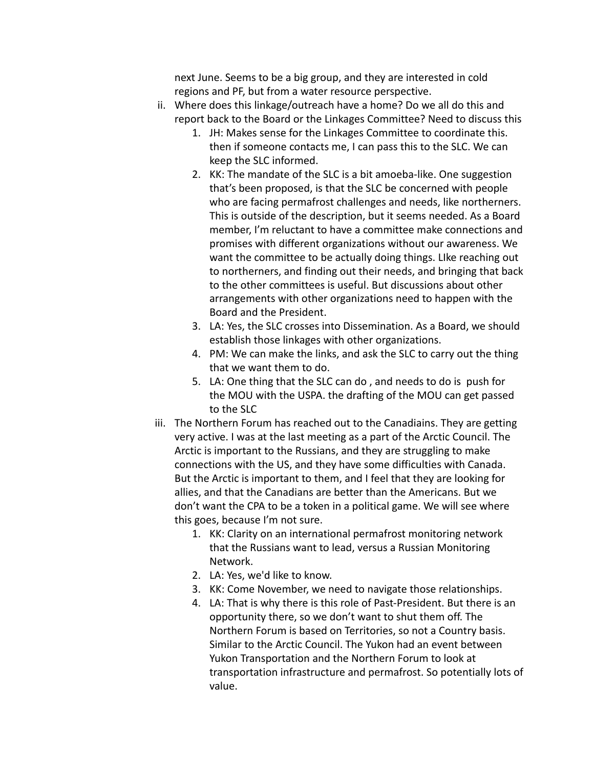next June. Seems to be a big group, and they are interested in cold regions and PF, but from a water resource perspective.

- ii. Where does this linkage/outreach have a home? Do we all do this and report back to the Board or the Linkages Committee? Need to discuss this
	- 1. JH: Makes sense for the Linkages Committee to coordinate this. then if someone contacts me, I can pass this to the SLC. We can keep the SLC informed.
	- 2. KK: The mandate of the SLC is a bit amoeba-like. One suggestion that's been proposed, is that the SLC be concerned with people who are facing permafrost challenges and needs, like northerners. This is outside of the description, but it seems needed. As a Board member, I'm reluctant to have a committee make connections and promises with different organizations without our awareness. We want the committee to be actually doing things. LIke reaching out to northerners, and finding out their needs, and bringing that back to the other committees is useful. But discussions about other arrangements with other organizations need to happen with the Board and the President.
	- 3. LA: Yes, the SLC crosses into Dissemination. As a Board, we should establish those linkages with other organizations.
	- 4. PM: We can make the links, and ask the SLC to carry out the thing that we want them to do.
	- 5. LA: One thing that the SLC can do , and needs to do is push for the MOU with the USPA. the drafting of the MOU can get passed to the SLC
- iii. The Northern Forum has reached out to the Canadiains. They are getting very active. I was at the last meeting as a part of the Arctic Council. The Arctic is important to the Russians, and they are struggling to make connections with the US, and they have some difficulties with Canada. But the Arctic is important to them, and I feel that they are looking for allies, and that the Canadians are better than the Americans. But we don't want the CPA to be a token in a political game. We will see where this goes, because I'm not sure.
	- 1. KK: Clarity on an international permafrost monitoring network that the Russians want to lead, versus a Russian Monitoring Network.
	- 2. LA: Yes, we'd like to know.
	- 3. KK: Come November, we need to navigate those relationships.
	- 4. LA: That is why there is this role of Past-President. But there is an opportunity there, so we don't want to shut them off. The Northern Forum is based on Territories, so not a Country basis. Similar to the Arctic Council. The Yukon had an event between Yukon Transportation and the Northern Forum to look at transportation infrastructure and permafrost. So potentially lots of value.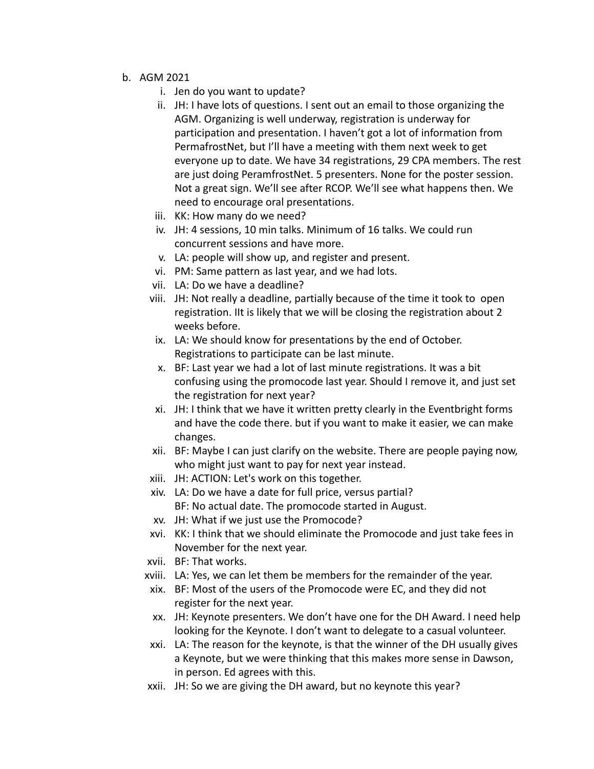- b. AGM 2021
	- i. Jen do you want to update?
	- ii. JH: I have lots of questions. I sent out an email to those organizing the AGM. Organizing is well underway, registration is underway for participation and presentation. I haven't got a lot of information from PermafrostNet, but I'll have a meeting with them next week to get everyone up to date. We have 34 registrations, 29 CPA members. The rest are just doing PeramfrostNet. 5 presenters. None for the poster session. Not a great sign. We'll see after RCOP. We'll see what happens then. We need to encourage oral presentations.
	- iii. KK: How many do we need?
	- iv. JH: 4 sessions, 10 min talks. Minimum of 16 talks. We could run concurrent sessions and have more.
	- v. LA: people will show up, and register and present.
	- vi. PM: Same pattern as last year, and we had lots.
	- vii. LA: Do we have a deadline?
	- viii. JH: Not really a deadline, partially because of the time it took to open registration. IIt is likely that we will be closing the registration about 2 weeks before.
	- ix. LA: We should know for presentations by the end of October. Registrations to participate can be last minute.
	- x. BF: Last year we had a lot of last minute registrations. It was a bit confusing using the promocode last year. Should I remove it, and just set the registration for next year?
	- xi. JH: I think that we have it written pretty clearly in the Eventbright forms and have the code there. but if you want to make it easier, we can make changes.
	- xii. BF: Maybe I can just clarify on the website. There are people paying now, who might just want to pay for next year instead.
	- xiii. JH: ACTION: Let's work on this together.
	- xiv. LA: Do we have a date for full price, versus partial? BF: No actual date. The promocode started in August.
	- xv. JH: What if we just use the Promocode?
	- xvi. KK: I think that we should eliminate the Promocode and just take fees in November for the next year.
	- xvii. BF: That works.
	- xviii. LA: Yes, we can let them be members for the remainder of the year.
	- xix. BF: Most of the users of the Promocode were EC, and they did not register for the next year.
	- xx. JH: Keynote presenters. We don't have one for the DH Award. I need help looking for the Keynote. I don't want to delegate to a casual volunteer.
	- xxi. LA: The reason for the keynote, is that the winner of the DH usually gives a Keynote, but we were thinking that this makes more sense in Dawson, in person. Ed agrees with this.
	- xxii. JH: So we are giving the DH award, but no keynote this year?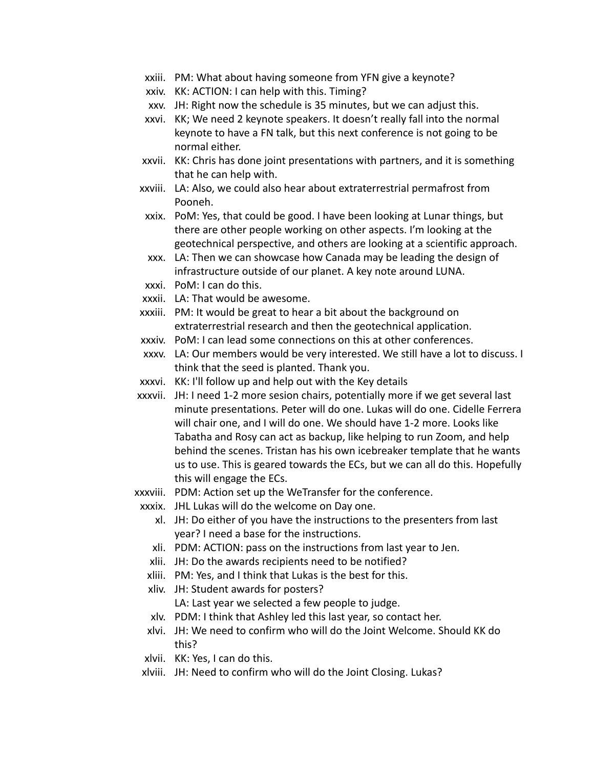- xxiii. PM: What about having someone from YFN give a keynote?
- xxiv. KK: ACTION: I can help with this. Timing?
- xxv. JH: Right now the schedule is 35 minutes, but we can adjust this.
- xxvi. KK; We need 2 keynote speakers. It doesn't really fall into the normal keynote to have a FN talk, but this next conference is not going to be normal either.
- xxvii. KK: Chris has done joint presentations with partners, and it is something that he can help with.
- xxviii. LA: Also, we could also hear about extraterrestrial permafrost from Pooneh.
- xxix. PoM: Yes, that could be good. I have been looking at Lunar things, but there are other people working on other aspects. I'm looking at the geotechnical perspective, and others are looking at a scientific approach.
- xxx. LA: Then we can showcase how Canada may be leading the design of infrastructure outside of our planet. A key note around LUNA.
- xxxi. PoM: I can do this.
- xxxii. LA: That would be awesome.
- xxxiii. PM: It would be great to hear a bit about the background on extraterrestrial research and then the geotechnical application.
- xxxiv. PoM: I can lead some connections on this at other conferences.
- xxxv. LA: Our members would be very interested. We still have a lot to discuss. I think that the seed is planted. Thank you.
- xxxvi. KK: I'll follow up and help out with the Key details
- xxxvii. JH: I need 1-2 more sesion chairs, potentially more if we get several last minute presentations. Peter will do one. Lukas will do one. Cidelle Ferrera will chair one, and I will do one. We should have 1-2 more. Looks like Tabatha and Rosy can act as backup, like helping to run Zoom, and help behind the scenes. Tristan has his own icebreaker template that he wants us to use. This is geared towards the ECs, but we can all do this. Hopefully this will engage the ECs.
- xxxviii. PDM: Action set up the WeTransfer for the conference.
	- xxxix. JHL Lukas will do the welcome on Day one.
		- xl. JH: Do either of you have the instructions to the presenters from last year? I need a base for the instructions.
		- xli. PDM: ACTION: pass on the instructions from last year to Jen.
		- xlii. JH: Do the awards recipients need to be notified?
		- xliii. PM: Yes, and I think that Lukas is the best for this.
		- xliv. JH: Student awards for posters? LA: Last year we selected a few people to judge.
		- xlv. PDM: I think that Ashley led this last year, so contact her.
		- xlvi. JH: We need to confirm who will do the Joint Welcome. Should KK do this?
	- xlvii. KK: Yes, I can do this.
	- xlviii. JH: Need to confirm who will do the Joint Closing. Lukas?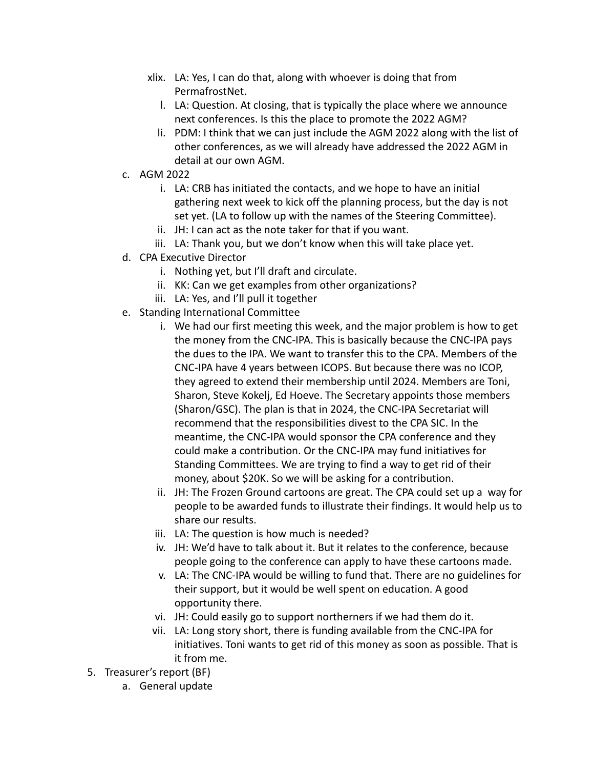- xlix. LA: Yes, I can do that, along with whoever is doing that from PermafrostNet.
	- l. LA: Question. At closing, that is typically the place where we announce next conferences. Is this the place to promote the 2022 AGM?
	- li. PDM: I think that we can just include the AGM 2022 along with the list of other conferences, as we will already have addressed the 2022 AGM in detail at our own AGM.
- c. AGM 2022
	- i. LA: CRB has initiated the contacts, and we hope to have an initial gathering next week to kick off the planning process, but the day is not set yet. (LA to follow up with the names of the Steering Committee).
	- ii. JH: I can act as the note taker for that if you want.
	- iii. LA: Thank you, but we don't know when this will take place yet.
- d. CPA Executive Director
	- i. Nothing yet, but I'll draft and circulate.
	- ii. KK: Can we get examples from other organizations?
	- iii. LA: Yes, and I'll pull it together
- e. Standing International Committee
	- i. We had our first meeting this week, and the major problem is how to get the money from the CNC-IPA. This is basically because the CNC-IPA pays the dues to the IPA. We want to transfer this to the CPA. Members of the CNC-IPA have 4 years between ICOPS. But because there was no ICOP, they agreed to extend their membership until 2024. Members are Toni, Sharon, Steve Kokelj, Ed Hoeve. The Secretary appoints those members (Sharon/GSC). The plan is that in 2024, the CNC-IPA Secretariat will recommend that the responsibilities divest to the CPA SIC. In the meantime, the CNC-IPA would sponsor the CPA conference and they could make a contribution. Or the CNC-IPA may fund initiatives for Standing Committees. We are trying to find a way to get rid of their money, about \$20K. So we will be asking for a contribution.
	- ii. JH: The Frozen Ground cartoons are great. The CPA could set up a way for people to be awarded funds to illustrate their findings. It would help us to share our results.
	- iii. LA: The question is how much is needed?
	- iv. JH: We'd have to talk about it. But it relates to the conference, because people going to the conference can apply to have these cartoons made.
	- v. LA: The CNC-IPA would be willing to fund that. There are no guidelines for their support, but it would be well spent on education. A good opportunity there.
	- vi. JH: Could easily go to support northerners if we had them do it.
	- vii. LA: Long story short, there is funding available from the CNC-IPA for initiatives. Toni wants to get rid of this money as soon as possible. That is it from me.
- 5. Treasurer's report (BF)
	- a. General update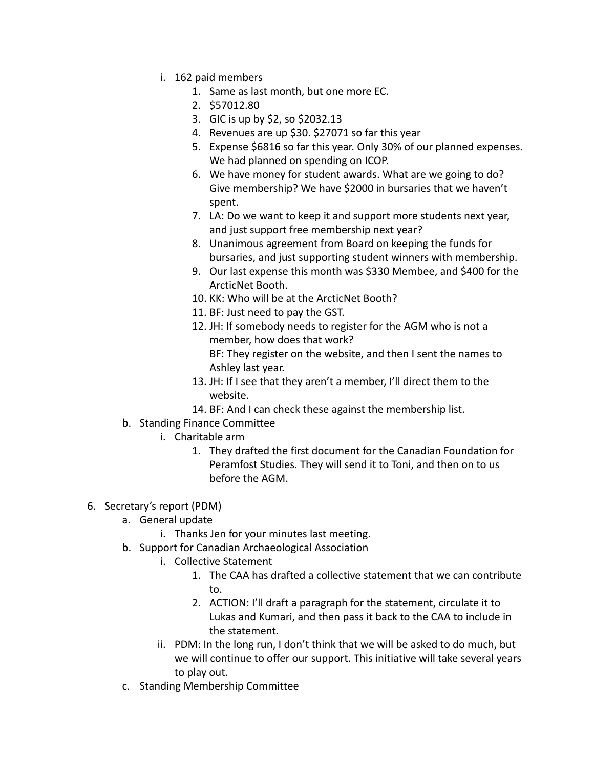- i. 162 paid members
	- 1. Same as last month, but one more EC.
	- 2. \$57012.80
	- 3. GIC is up by \$2, so \$2032.13
	- 4. Revenues are up \$30. \$27071 so far this year
	- 5. Expense \$6816 so far this year. Only 30% of our planned expenses. We had planned on spending on ICOP.
	- 6. We have money for student awards. What are we going to do? Give membership? We have \$2000 in bursaries that we haven't spent.
	- 7. LA: Do we want to keep it and support more students next year, and just support free membership next year?
	- 8. Unanimous agreement from Board on keeping the funds for bursaries, and just supporting student winners with membership.
	- 9. Our last expense this month was \$330 Membee, and \$400 for the ArcticNet Booth.
	- 10. KK: Who will be at the ArcticNet Booth?
	- 11. BF: Just need to pay the GST.
	- 12. JH: If somebody needs to register for the AGM who is not a member, how does that work? BF: They register on the website, and then I sent the names to Ashley last year.
	- 13. JH: If I see that they aren't a member, I'll direct them to the website.
	- 14. BF: And I can check these against the membership list.
- b. Standing Finance Committee
	- i. Charitable arm
		- 1. They drafted the first document for the Canadian Foundation for Peramfost Studies. They will send it to Toni, and then on to us before the AGM.
- 6. Secretary's report (PDM)
	- a. General update
		- i. Thanks Jen for your minutes last meeting.
	- b. Support for Canadian Archaeological Association
		- i. Collective Statement
			- 1. The CAA has drafted a collective statement that we can contribute to.
			- 2. ACTION: I'll draft a paragraph for the statement, circulate it to Lukas and Kumari, and then pass it back to the CAA to include in the statement.
		- ii. PDM: In the long run, I don't think that we will be asked to do much, but we will continue to offer our support. This initiative will take several years to play out.
	- c. Standing Membership Committee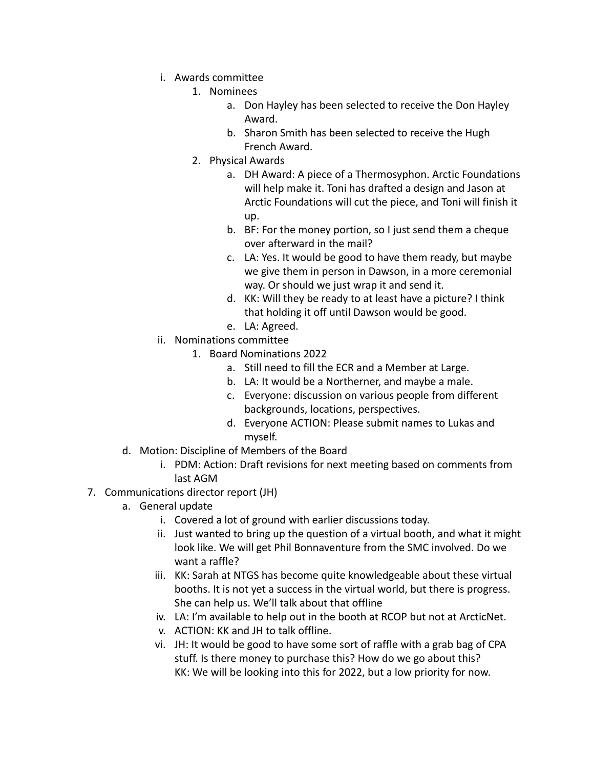- i. Awards committee
	- 1. Nominees
		- a. Don Hayley has been selected to receive the Don Hayley Award.
		- b. Sharon Smith has been selected to receive the Hugh French Award.
	- 2. Physical Awards
		- a. DH Award: A piece of a Thermosyphon. Arctic Foundations will help make it. Toni has drafted a design and Jason at Arctic Foundations will cut the piece, and Toni will finish it up.
		- b. BF: For the money portion, so I just send them a cheque over afterward in the mail?
		- c. LA: Yes. It would be good to have them ready, but maybe we give them in person in Dawson, in a more ceremonial way. Or should we just wrap it and send it.
		- d. KK: Will they be ready to at least have a picture? I think that holding it off until Dawson would be good.
		- e. LA: Agreed.
- ii. Nominations committee
	- 1. Board Nominations 2022
		- a. Still need to fill the ECR and a Member at Large.
		- b. LA: It would be a Northerner, and maybe a male.
		- c. Everyone: discussion on various people from different backgrounds, locations, perspectives.
		- d. Everyone ACTION: Please submit names to Lukas and myself.
- d. Motion: Discipline of Members of the Board
	- i. PDM: Action: Draft revisions for next meeting based on comments from last AGM
- 7. Communications director report (JH)
	- a. General update
		- i. Covered a lot of ground with earlier discussions today.
		- ii. Just wanted to bring up the question of a virtual booth, and what it might look like. We will get Phil Bonnaventure from the SMC involved. Do we want a raffle?
		- iii. KK: Sarah at NTGS has become quite knowledgeable about these virtual booths. It is not yet a success in the virtual world, but there is progress. She can help us. We'll talk about that offline
		- iv. LA: I'm available to help out in the booth at RCOP but not at ArcticNet.
		- v. ACTION: KK and JH to talk offline.
		- vi. JH: It would be good to have some sort of raffle with a grab bag of CPA stuff. Is there money to purchase this? How do we go about this? KK: We will be looking into this for 2022, but a low priority for now.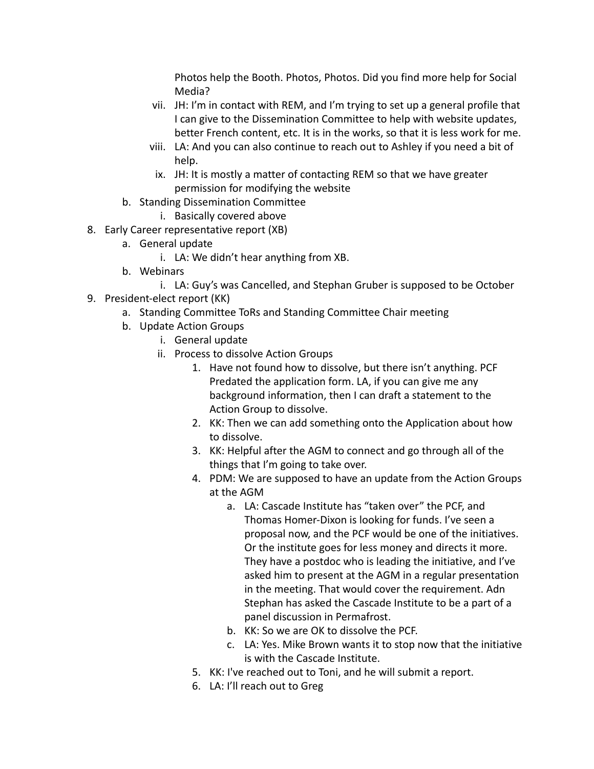Photos help the Booth. Photos, Photos. Did you find more help for Social Media?

- vii. JH: I'm in contact with REM, and I'm trying to set up a general profile that I can give to the Dissemination Committee to help with website updates, better French content, etc. It is in the works, so that it is less work for me.
- viii. LA: And you can also continue to reach out to Ashley if you need a bit of help.
- ix. JH: It is mostly a matter of contacting REM so that we have greater permission for modifying the website
- b. Standing Dissemination Committee
	- i. Basically covered above
- 8. Early Career representative report (XB)
	- a. General update
		- i. LA: We didn't hear anything from XB.
	- b. Webinars
		- i. LA: Guy's was Cancelled, and Stephan Gruber is supposed to be October
- 9. President-elect report (KK)
	- a. Standing Committee ToRs and Standing Committee Chair meeting
	- b. Update Action Groups
		- i. General update
		- ii. Process to dissolve Action Groups
			- 1. Have not found how to dissolve, but there isn't anything. PCF Predated the application form. LA, if you can give me any background information, then I can draft a statement to the Action Group to dissolve.
			- 2. KK: Then we can add something onto the Application about how to dissolve.
			- 3. KK: Helpful after the AGM to connect and go through all of the things that I'm going to take over.
			- 4. PDM: We are supposed to have an update from the Action Groups at the AGM
				- a. LA: Cascade Institute has "taken over" the PCF, and Thomas Homer-Dixon is looking for funds. I've seen a proposal now, and the PCF would be one of the initiatives. Or the institute goes for less money and directs it more. They have a postdoc who is leading the initiative, and I've asked him to present at the AGM in a regular presentation in the meeting. That would cover the requirement. Adn Stephan has asked the Cascade Institute to be a part of a panel discussion in Permafrost.
				- b. KK: So we are OK to dissolve the PCF.
				- c. LA: Yes. Mike Brown wants it to stop now that the initiative is with the Cascade Institute.
			- 5. KK: I've reached out to Toni, and he will submit a report.
			- 6. LA: I'll reach out to Greg